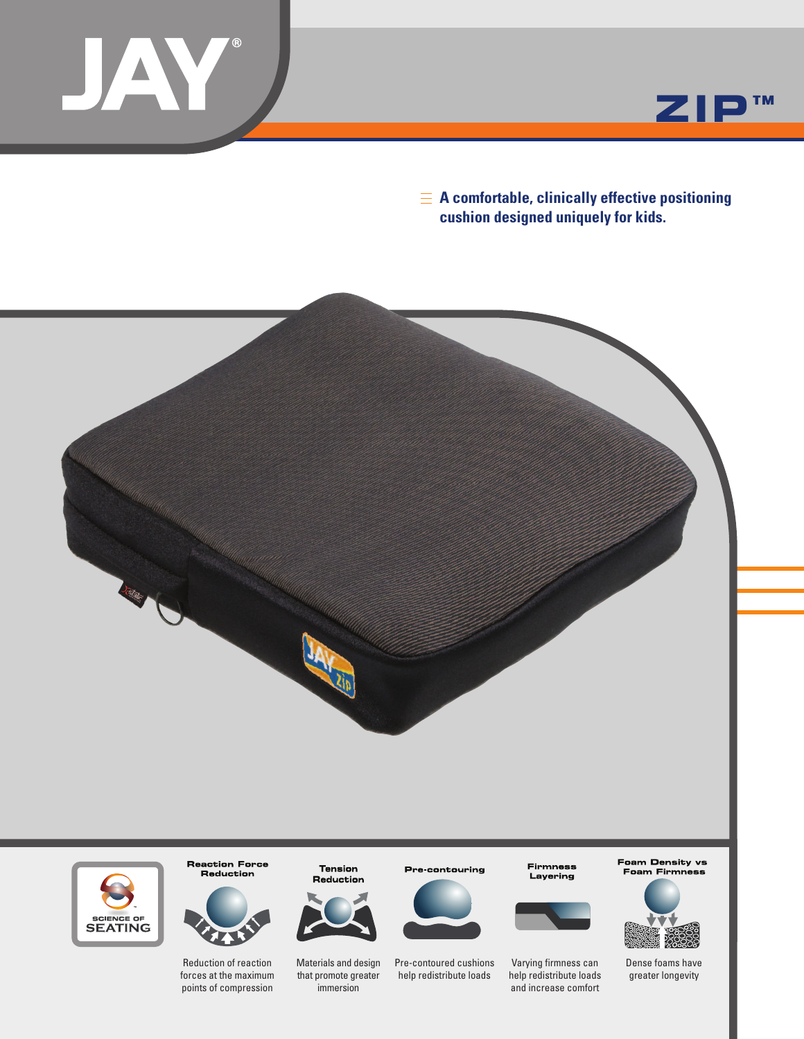



**A comfortable, clinically effective positioning cushion designed uniquely for kids.**





**Reaction Force** Reduction

14

Reduction of reaction forces at the maximum points of compression

Materials and design that promote greater immersion

**Tension** 

Reduction

Pre-contouring



Pre-contoured cushions help redistribute loads

**Firmness** Layering



Varying firmness can help redistribute loads and increase comfort Foam Density vs Foam Firmness



Dense foams have greater longevity